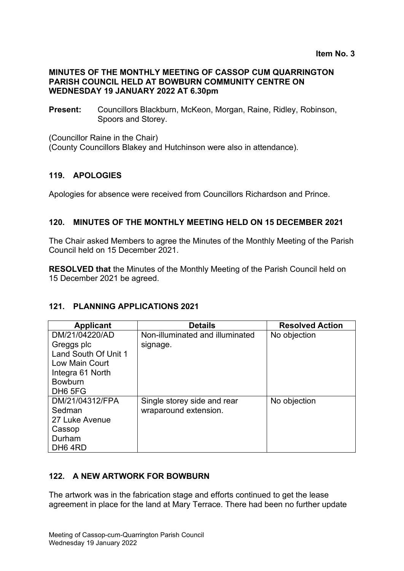#### **MINUTES OF THE MONTHLY MEETING OF CASSOP CUM QUARRINGTON PARISH COUNCIL HELD AT BOWBURN COMMUNITY CENTRE ON WEDNESDAY 19 JANUARY 2022 AT 6.30pm**

**Present:** Councillors Blackburn, McKeon, Morgan, Raine, Ridley, Robinson, Spoors and Storey.

(Councillor Raine in the Chair)

(County Councillors Blakey and Hutchinson were also in attendance).

#### **119. APOLOGIES**

Apologies for absence were received from Councillors Richardson and Prince.

#### **120. MINUTES OF THE MONTHLY MEETING HELD ON 15 DECEMBER 2021**

The Chair asked Members to agree the Minutes of the Monthly Meeting of the Parish Council held on 15 December 2021.

**RESOLVED that** the Minutes of the Monthly Meeting of the Parish Council held on 15 December 2021 be agreed.

#### **121. PLANNING APPLICATIONS 2021**

| <b>Applicant</b>     | <b>Details</b>                  | <b>Resolved Action</b> |
|----------------------|---------------------------------|------------------------|
| DM/21/04220/AD       | Non-illuminated and illuminated | No objection           |
| Greggs plc           | signage.                        |                        |
| Land South Of Unit 1 |                                 |                        |
| Low Main Court       |                                 |                        |
| Integra 61 North     |                                 |                        |
| <b>Bowburn</b>       |                                 |                        |
| DH <sub>6</sub> 5FG  |                                 |                        |
| DM/21/04312/FPA      | Single storey side and rear     | No objection           |
| Sedman               | wraparound extension.           |                        |
| 27 Luke Avenue       |                                 |                        |
| Cassop               |                                 |                        |
| Durham               |                                 |                        |
| DH <sub>6</sub> 4RD  |                                 |                        |

#### **122. A NEW ARTWORK FOR BOWBURN**

The artwork was in the fabrication stage and efforts continued to get the lease agreement in place for the land at Mary Terrace. There had been no further update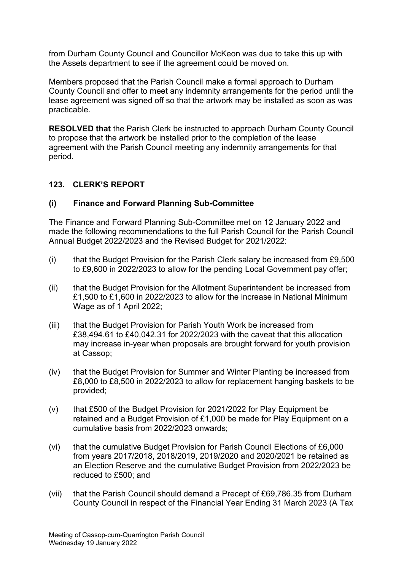from Durham County Council and Councillor McKeon was due to take this up with the Assets department to see if the agreement could be moved on.

Members proposed that the Parish Council make a formal approach to Durham County Council and offer to meet any indemnity arrangements for the period until the lease agreement was signed off so that the artwork may be installed as soon as was practicable.

**RESOLVED that** the Parish Clerk be instructed to approach Durham County Council to propose that the artwork be installed prior to the completion of the lease agreement with the Parish Council meeting any indemnity arrangements for that period.

### **123. CLERK'S REPORT**

### **(i) Finance and Forward Planning Sub-Committee**

The Finance and Forward Planning Sub-Committee met on 12 January 2022 and made the following recommendations to the full Parish Council for the Parish Council Annual Budget 2022/2023 and the Revised Budget for 2021/2022:

- (i) that the Budget Provision for the Parish Clerk salary be increased from £9,500 to £9,600 in 2022/2023 to allow for the pending Local Government pay offer;
- (ii) that the Budget Provision for the Allotment Superintendent be increased from £1,500 to £1,600 in 2022/2023 to allow for the increase in National Minimum Wage as of 1 April 2022;
- (iii) that the Budget Provision for Parish Youth Work be increased from £38,494.61 to £40,042.31 for 2022/2023 with the caveat that this allocation may increase in-year when proposals are brought forward for youth provision at Cassop;
- (iv) that the Budget Provision for Summer and Winter Planting be increased from £8,000 to £8,500 in 2022/2023 to allow for replacement hanging baskets to be provided;
- (v) that £500 of the Budget Provision for 2021/2022 for Play Equipment be retained and a Budget Provision of £1,000 be made for Play Equipment on a cumulative basis from 2022/2023 onwards;
- (vi) that the cumulative Budget Provision for Parish Council Elections of £6,000 from years 2017/2018, 2018/2019, 2019/2020 and 2020/2021 be retained as an Election Reserve and the cumulative Budget Provision from 2022/2023 be reduced to £500; and
- (vii) that the Parish Council should demand a Precept of £69,786.35 from Durham County Council in respect of the Financial Year Ending 31 March 2023 (A Tax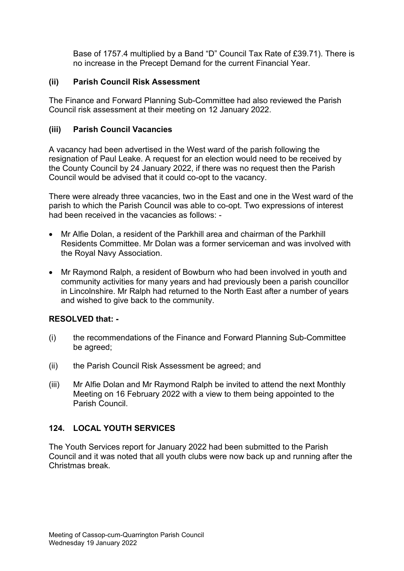Base of 1757.4 multiplied by a Band "D" Council Tax Rate of £39.71). There is no increase in the Precept Demand for the current Financial Year.

## **(ii) Parish Council Risk Assessment**

The Finance and Forward Planning Sub-Committee had also reviewed the Parish Council risk assessment at their meeting on 12 January 2022.

# **(iii) Parish Council Vacancies**

A vacancy had been advertised in the West ward of the parish following the resignation of Paul Leake. A request for an election would need to be received by the County Council by 24 January 2022, if there was no request then the Parish Council would be advised that it could co-opt to the vacancy.

There were already three vacancies, two in the East and one in the West ward of the parish to which the Parish Council was able to co-opt. Two expressions of interest had been received in the vacancies as follows: -

- Mr Alfie Dolan, a resident of the Parkhill area and chairman of the Parkhill Residents Committee. Mr Dolan was a former serviceman and was involved with the Royal Navy Association.
- Mr Raymond Ralph, a resident of Bowburn who had been involved in youth and community activities for many years and had previously been a parish councillor in Lincolnshire. Mr Ralph had returned to the North East after a number of years and wished to give back to the community.

## **RESOLVED that: -**

- (i) the recommendations of the Finance and Forward Planning Sub-Committee be agreed;
- (ii) the Parish Council Risk Assessment be agreed; and
- (iii) Mr Alfie Dolan and Mr Raymond Ralph be invited to attend the next Monthly Meeting on 16 February 2022 with a view to them being appointed to the Parish Council.

# **124. LOCAL YOUTH SERVICES**

The Youth Services report for January 2022 had been submitted to the Parish Council and it was noted that all youth clubs were now back up and running after the Christmas break.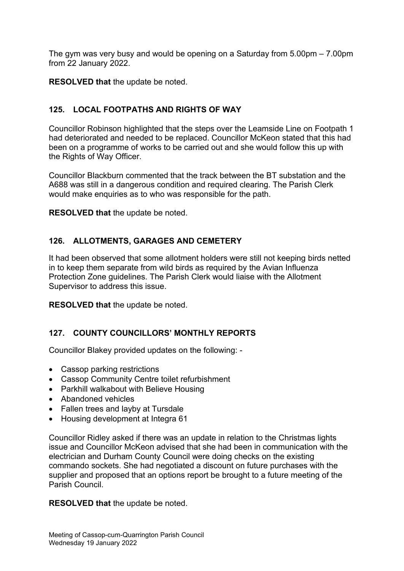The gym was very busy and would be opening on a Saturday from 5.00pm – 7.00pm from 22 January 2022.

**RESOLVED that** the update be noted.

# **125. LOCAL FOOTPATHS AND RIGHTS OF WAY**

Councillor Robinson highlighted that the steps over the Leamside Line on Footpath 1 had deteriorated and needed to be replaced. Councillor McKeon stated that this had been on a programme of works to be carried out and she would follow this up with the Rights of Way Officer.

Councillor Blackburn commented that the track between the BT substation and the A688 was still in a dangerous condition and required clearing. The Parish Clerk would make enquiries as to who was responsible for the path.

**RESOLVED that** the update be noted.

# **126. ALLOTMENTS, GARAGES AND CEMETERY**

It had been observed that some allotment holders were still not keeping birds netted in to keep them separate from wild birds as required by the Avian Influenza Protection Zone guidelines. The Parish Clerk would liaise with the Allotment Supervisor to address this issue.

**RESOLVED that** the update be noted.

## **127. COUNTY COUNCILLORS' MONTHLY REPORTS**

Councillor Blakey provided updates on the following: -

- Cassop parking restrictions
- Cassop Community Centre toilet refurbishment
- Parkhill walkabout with Believe Housing
- Abandoned vehicles
- Fallen trees and layby at Tursdale
- Housing development at Integra 61

Councillor Ridley asked if there was an update in relation to the Christmas lights issue and Councillor McKeon advised that she had been in communication with the electrician and Durham County Council were doing checks on the existing commando sockets. She had negotiated a discount on future purchases with the supplier and proposed that an options report be brought to a future meeting of the Parish Council.

**RESOLVED that** the update be noted.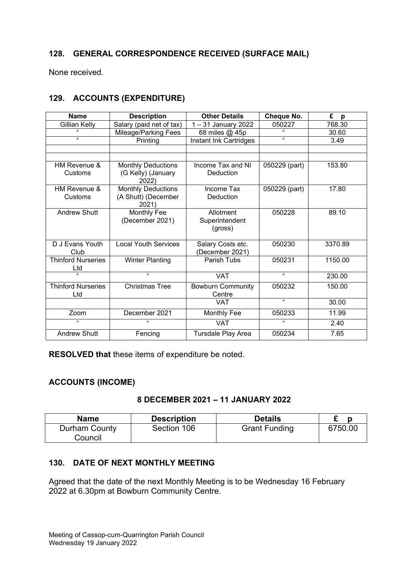# **128. GENERAL CORRESPONDENCE RECEIVED (SURFACE MAIL)**

None received.

# **129. ACCOUNTS (EXPENDITURE)**

| <b>Name</b>               | <b>Description</b>           | <b>Other Details</b>               | Cheque No.                 | £<br>p  |
|---------------------------|------------------------------|------------------------------------|----------------------------|---------|
| <b>Gillian Kelly</b>      | Salary (paid net of tax)     | 1-31 January 2022                  |                            | 768.30  |
|                           | Mileage/Parking Fees         | 68 miles @ 45p                     |                            | 30.60   |
| $\alpha$                  | Printing                     | Instant Ink Cartridges             | $\alpha$                   | 3.49    |
|                           |                              |                                    |                            |         |
|                           |                              |                                    |                            |         |
| HM Revenue &              | <b>Monthly Deductions</b>    | Income Tax and NI<br>050229 (part) |                            | 153.80  |
| Customs                   | (G Kelly) (January<br>2022)  | Deduction                          |                            |         |
| HM Revenue &              | <b>Monthly Deductions</b>    | Income Tax                         | $\overline{050229}$ (part) | 17.80   |
| Customs                   | (A Shutt) (December<br>2021) | Deduction                          |                            |         |
| <b>Andrew Shutt</b>       | Monthly Fee                  | Allotment                          | 050228                     | 89.10   |
|                           | (December 2021)              | Superintendent                     |                            |         |
|                           |                              | (gross)                            |                            |         |
| D.J Evans Youth           | <b>Local Youth Services</b>  | Salary Costs etc.                  | 050230                     | 3370.89 |
| Club                      |                              | (December 2021)                    |                            |         |
| <b>Thinford Nurseries</b> | <b>Winter Planting</b>       | Parish Tubs                        | 050231                     | 1150.00 |
| Ltd                       |                              |                                    |                            |         |
| $\epsilon$                | $\alpha$                     | <b>VAT</b>                         | $\Omega$                   | 230.00  |
| <b>Thinford Nurseries</b> | <b>Christmas Tree</b>        | <b>Bowburn Community</b>           | 050232                     | 150.00  |
| Ltd                       |                              | Centre                             |                            |         |
|                           |                              | <b>VAT</b>                         | $\epsilon$                 | 30.00   |
| Zoom                      | December 2021                | Monthly Fee                        | 050233                     | 11.99   |
| $\alpha$                  |                              | <b>VAT</b>                         | $\alpha$                   | 2.40    |
| <b>Andrew Shutt</b>       | Fencing                      | Tursdale Play Area                 | 050234                     | 7.65    |

**RESOLVED that** these items of expenditure be noted.

## **ACCOUNTS (INCOME)**

## **8 DECEMBER 2021 – 11 JANUARY 2022**

| <b>Name</b>   | <b>Description</b> | <b>Details</b>       |         |
|---------------|--------------------|----------------------|---------|
| Durham County | Section 106        | <b>Grant Funding</b> | 6750.00 |
| Council       |                    |                      |         |

## **130. DATE OF NEXT MONTHLY MEETING**

Agreed that the date of the next Monthly Meeting is to be Wednesday 16 February 2022 at 6.30pm at Bowburn Community Centre.